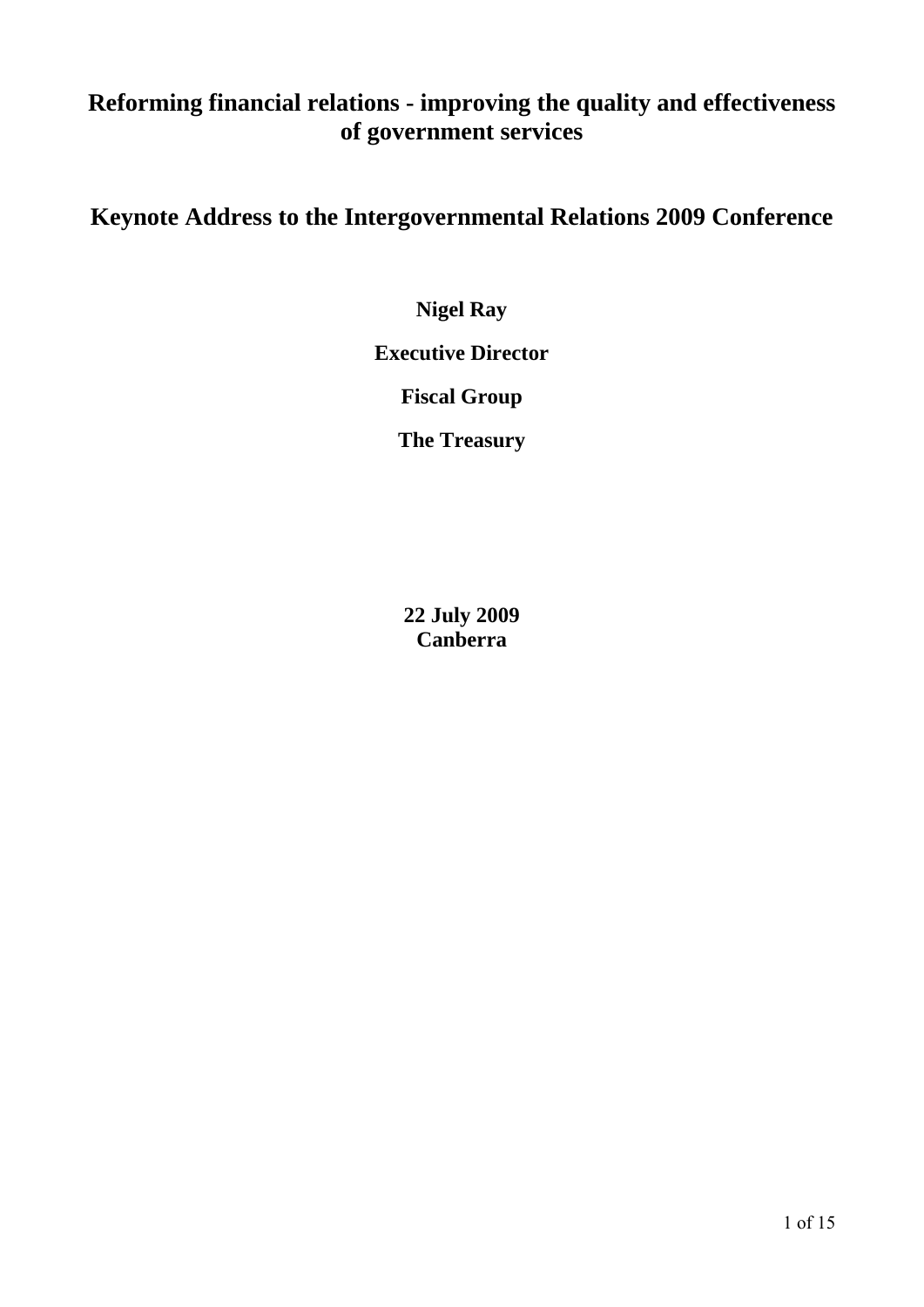# **Reforming financial relations - improving the quality and effectiveness of government services**

# **Keynote Address to the Intergovernmental Relations 2009 Conference**

**Nigel Ray** 

**Executive Director** 

**Fiscal Group** 

**The Treasury** 

**22 July 2009 Canberra**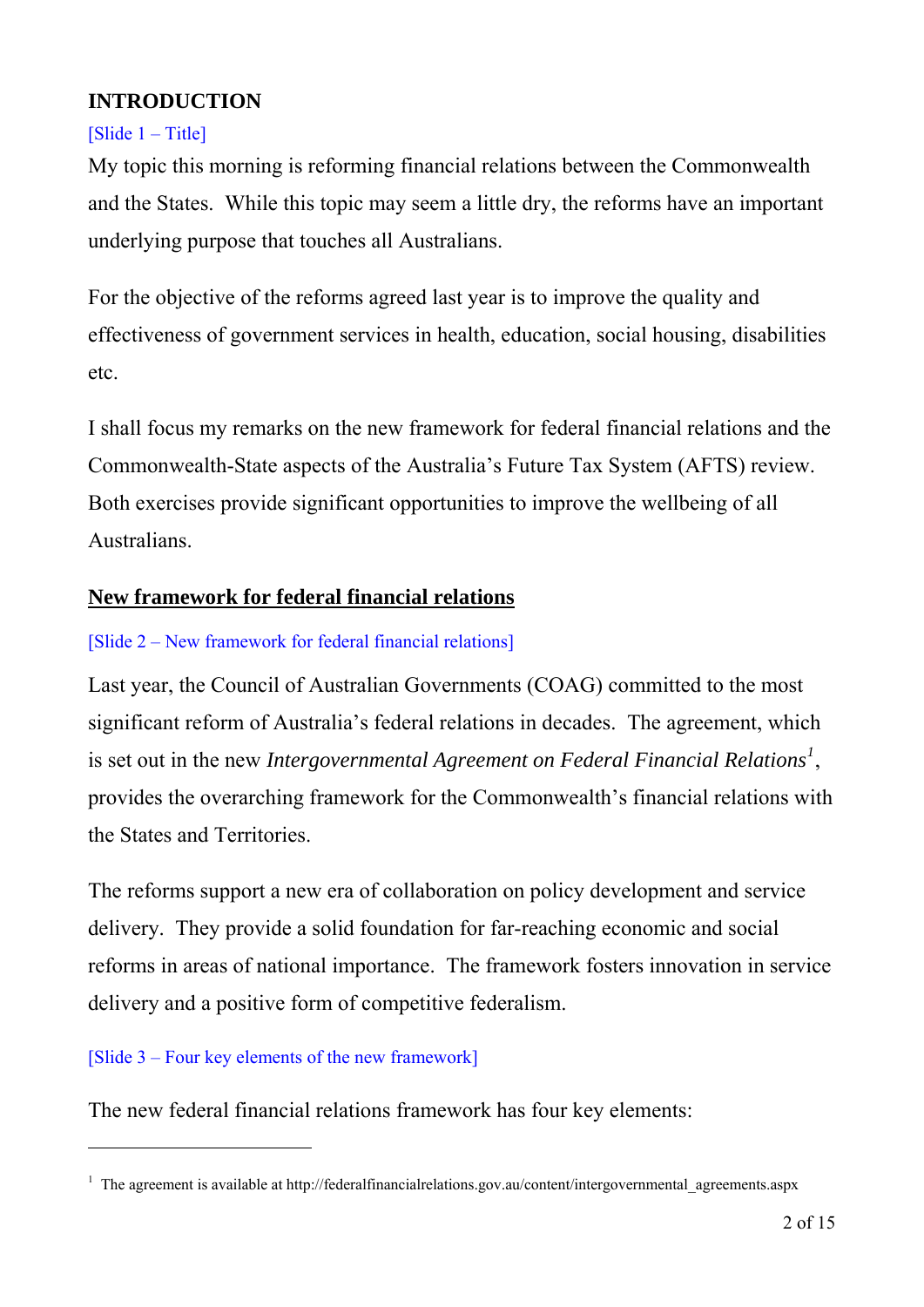# **INTRODUCTION**

## $[S$ lide  $1 - Title$

My topic this morning is reforming financial relations between the Commonwealth and the States. While this topic may seem a little dry, the reforms have an important underlying purpose that touches all Australians.

For the objective of the reforms agreed last year is to improve the quality and effectiveness of government services in health, education, social housing, disabilities etc.

I shall focus my remarks on the new framework for federal financial relations and the Commonwealth-State aspects of the Australia's Future Tax System (AFTS) review. Both exercises provide significant opportunities to improve the wellbeing of all Australians.

# **New framework for federal financial relations**

### [Slide 2 – New framework for federal financial relations]

Last year, the Council of Australian Governments (COAG) committed to the most significant reform of Australia's federal relations in decades. The agreement, which is set out in the new *Intergovernmental Agreement on Federal Financial Relations[1](#page-1-0)* , provides the overarching framework for the Commonwealth's financial relations with the States and Territories.

The reforms support a new era of collaboration on policy development and service delivery. They provide a solid foundation for far-reaching economic and social reforms in areas of national importance. The framework fosters innovation in service delivery and a positive form of competitive federalism.

## [Slide 3 – Four key elements of the new framework]

 $\overline{a}$ 

The new federal financial relations framework has four key elements:

<span id="page-1-0"></span><sup>&</sup>lt;sup>1</sup> The agreement is available at http://federalfinancialrelations.gov.au/content/intergovernmental\_agreements.aspx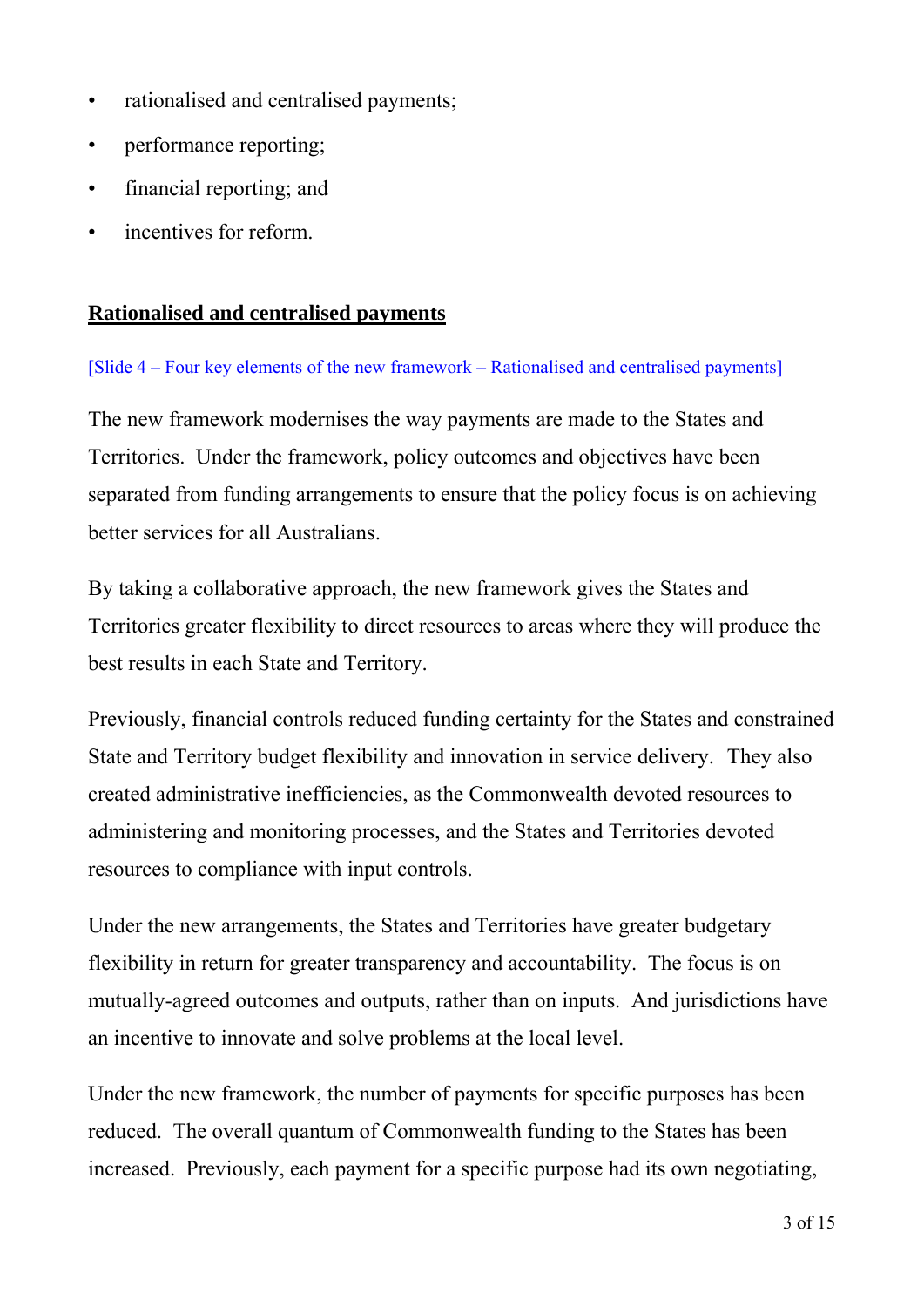- rationalised and centralised payments;
- performance reporting;
- financial reporting; and
- incentives for reform.

## **Rationalised and centralised payments**

[Slide 4 – Four key elements of the new framework – Rationalised and centralised payments]

The new framework modernises the way payments are made to the States and Territories. Under the framework, policy outcomes and objectives have been separated from funding arrangements to ensure that the policy focus is on achieving better services for all Australians.

By taking a collaborative approach, the new framework gives the States and Territories greater flexibility to direct resources to areas where they will produce the best results in each State and Territory.

Previously, financial controls reduced funding certainty for the States and constrained State and Territory budget flexibility and innovation in service delivery. They also created administrative inefficiencies, as the Commonwealth devoted resources to administering and monitoring processes, and the States and Territories devoted resources to compliance with input controls.

Under the new arrangements, the States and Territories have greater budgetary flexibility in return for greater transparency and accountability. The focus is on mutually-agreed outcomes and outputs, rather than on inputs. And jurisdictions have an incentive to innovate and solve problems at the local level.

Under the new framework, the number of payments for specific purposes has been reduced. The overall quantum of Commonwealth funding to the States has been increased. Previously, each payment for a specific purpose had its own negotiating,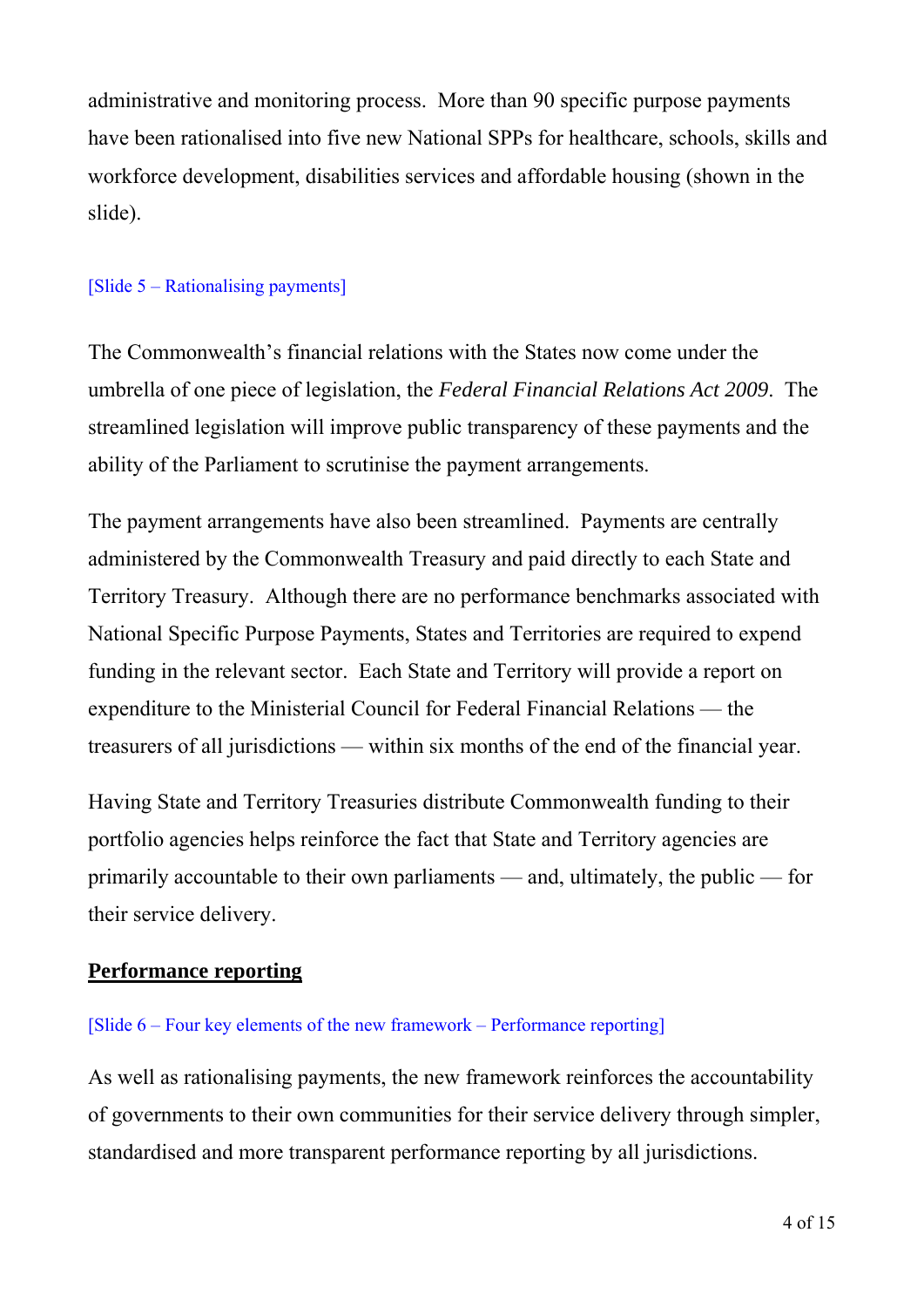administrative and monitoring process. More than 90 specific purpose payments have been rationalised into five new National SPPs for healthcare, schools, skills and workforce development, disabilities services and affordable housing (shown in the slide).

#### [Slide 5 – Rationalising payments]

The Commonwealth's financial relations with the States now come under the umbrella of one piece of legislation, the *Federal Financial Relations Act 2009*. The streamlined legislation will improve public transparency of these payments and the ability of the Parliament to scrutinise the payment arrangements.

The payment arrangements have also been streamlined. Payments are centrally administered by the Commonwealth Treasury and paid directly to each State and Territory Treasury. Although there are no performance benchmarks associated with National Specific Purpose Payments, States and Territories are required to expend funding in the relevant sector. Each State and Territory will provide a report on expenditure to the Ministerial Council for Federal Financial Relations — the treasurers of all jurisdictions — within six months of the end of the financial year.

Having State and Territory Treasuries distribute Commonwealth funding to their portfolio agencies helps reinforce the fact that State and Territory agencies are primarily accountable to their own parliaments — and, ultimately, the public — for their service delivery.

## **Performance reporting**

#### [Slide 6 – Four key elements of the new framework – Performance reporting]

As well as rationalising payments, the new framework reinforces the accountability of governments to their own communities for their service delivery through simpler, standardised and more transparent performance reporting by all jurisdictions.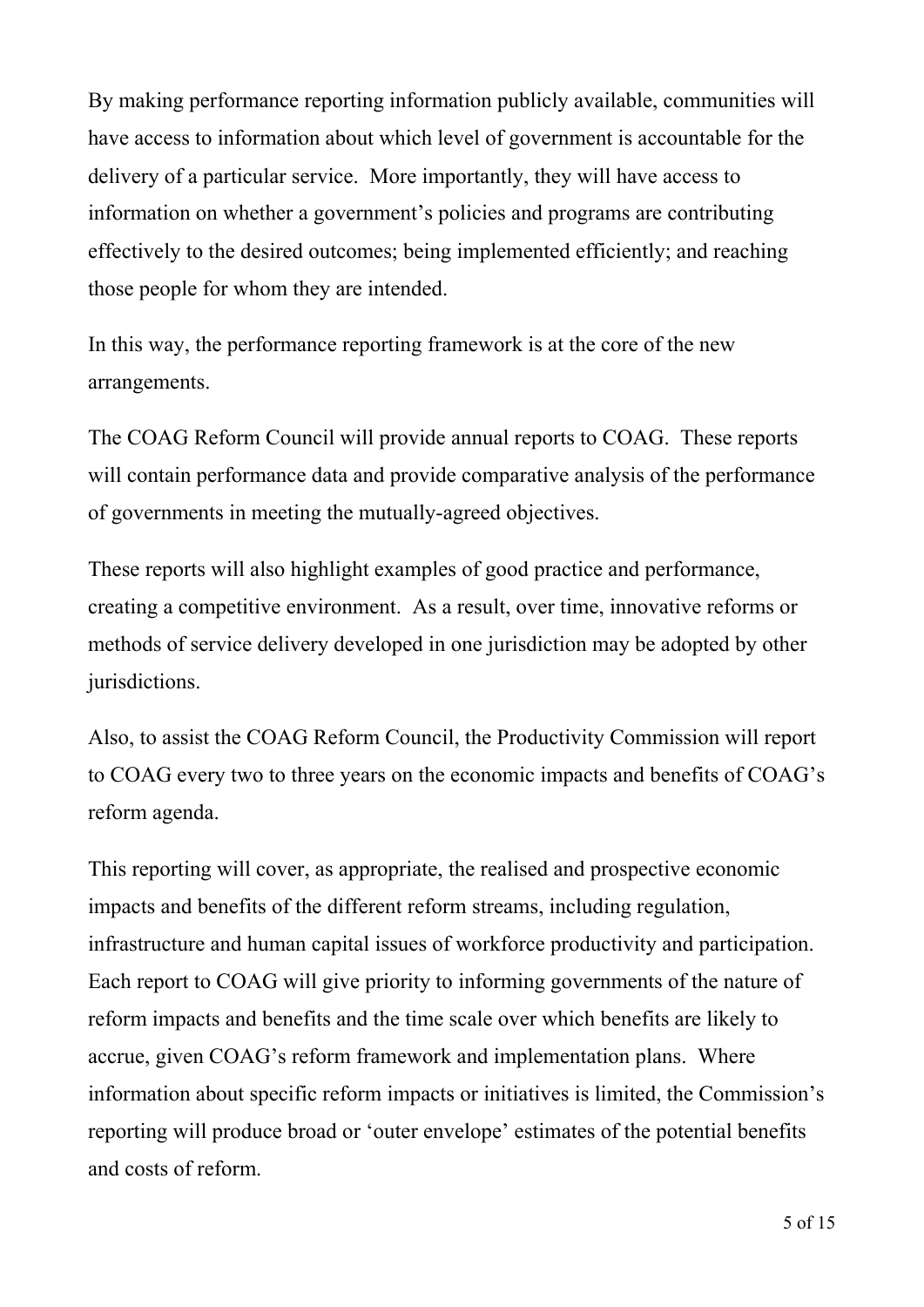By making performance reporting information publicly available, communities will have access to information about which level of government is accountable for the delivery of a particular service. More importantly, they will have access to information on whether a government's policies and programs are contributing effectively to the desired outcomes; being implemented efficiently; and reaching those people for whom they are intended.

In this way, the performance reporting framework is at the core of the new arrangements.

The COAG Reform Council will provide annual reports to COAG. These reports will contain performance data and provide comparative analysis of the performance of governments in meeting the mutually-agreed objectives.

These reports will also highlight examples of good practice and performance, creating a competitive environment. As a result, over time, innovative reforms or methods of service delivery developed in one jurisdiction may be adopted by other jurisdictions.

Also, to assist the COAG Reform Council, the Productivity Commission will report to COAG every two to three years on the economic impacts and benefits of COAG's reform agenda.

This reporting will cover, as appropriate, the realised and prospective economic impacts and benefits of the different reform streams, including regulation, infrastructure and human capital issues of workforce productivity and participation. Each report to COAG will give priority to informing governments of the nature of reform impacts and benefits and the time scale over which benefits are likely to accrue, given COAG's reform framework and implementation plans. Where information about specific reform impacts or initiatives is limited, the Commission's reporting will produce broad or 'outer envelope' estimates of the potential benefits and costs of reform.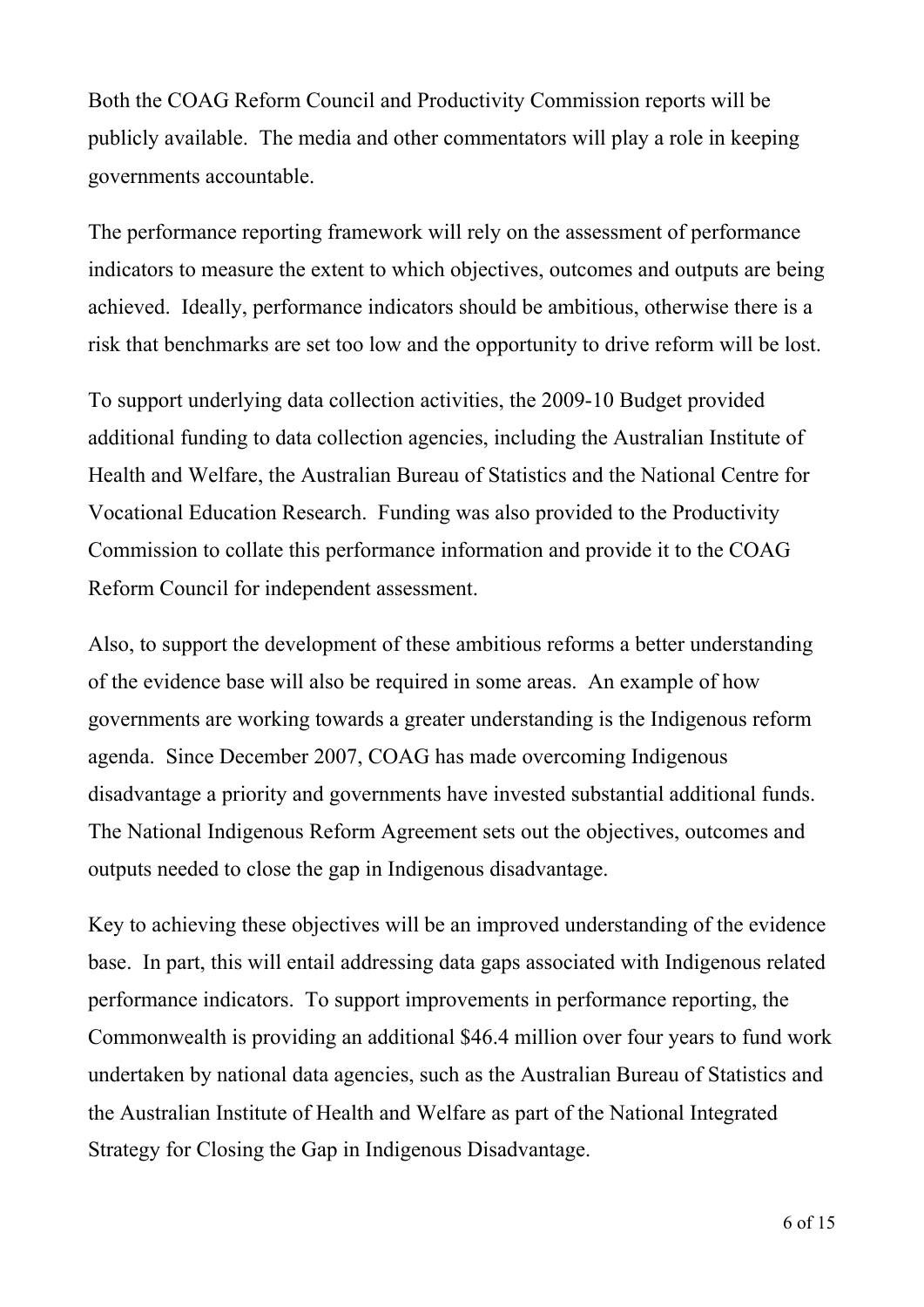Both the COAG Reform Council and Productivity Commission reports will be publicly available. The media and other commentators will play a role in keeping governments accountable.

The performance reporting framework will rely on the assessment of performance indicators to measure the extent to which objectives, outcomes and outputs are being achieved. Ideally, performance indicators should be ambitious, otherwise there is a risk that benchmarks are set too low and the opportunity to drive reform will be lost.

To support underlying data collection activities, the 2009-10 Budget provided additional funding to data collection agencies, including the Australian Institute of Health and Welfare, the Australian Bureau of Statistics and the National Centre for Vocational Education Research. Funding was also provided to the Productivity Commission to collate this performance information and provide it to the COAG Reform Council for independent assessment.

Also, to support the development of these ambitious reforms a better understanding of the evidence base will also be required in some areas. An example of how governments are working towards a greater understanding is the Indigenous reform agenda. Since December 2007, COAG has made overcoming Indigenous disadvantage a priority and governments have invested substantial additional funds. The National Indigenous Reform Agreement sets out the objectives, outcomes and outputs needed to close the gap in Indigenous disadvantage.

Key to achieving these objectives will be an improved understanding of the evidence base. In part, this will entail addressing data gaps associated with Indigenous related performance indicators. To support improvements in performance reporting, the Commonwealth is providing an additional \$46.4 million over four years to fund work undertaken by national data agencies, such as the Australian Bureau of Statistics and the Australian Institute of Health and Welfare as part of the National Integrated Strategy for Closing the Gap in Indigenous Disadvantage.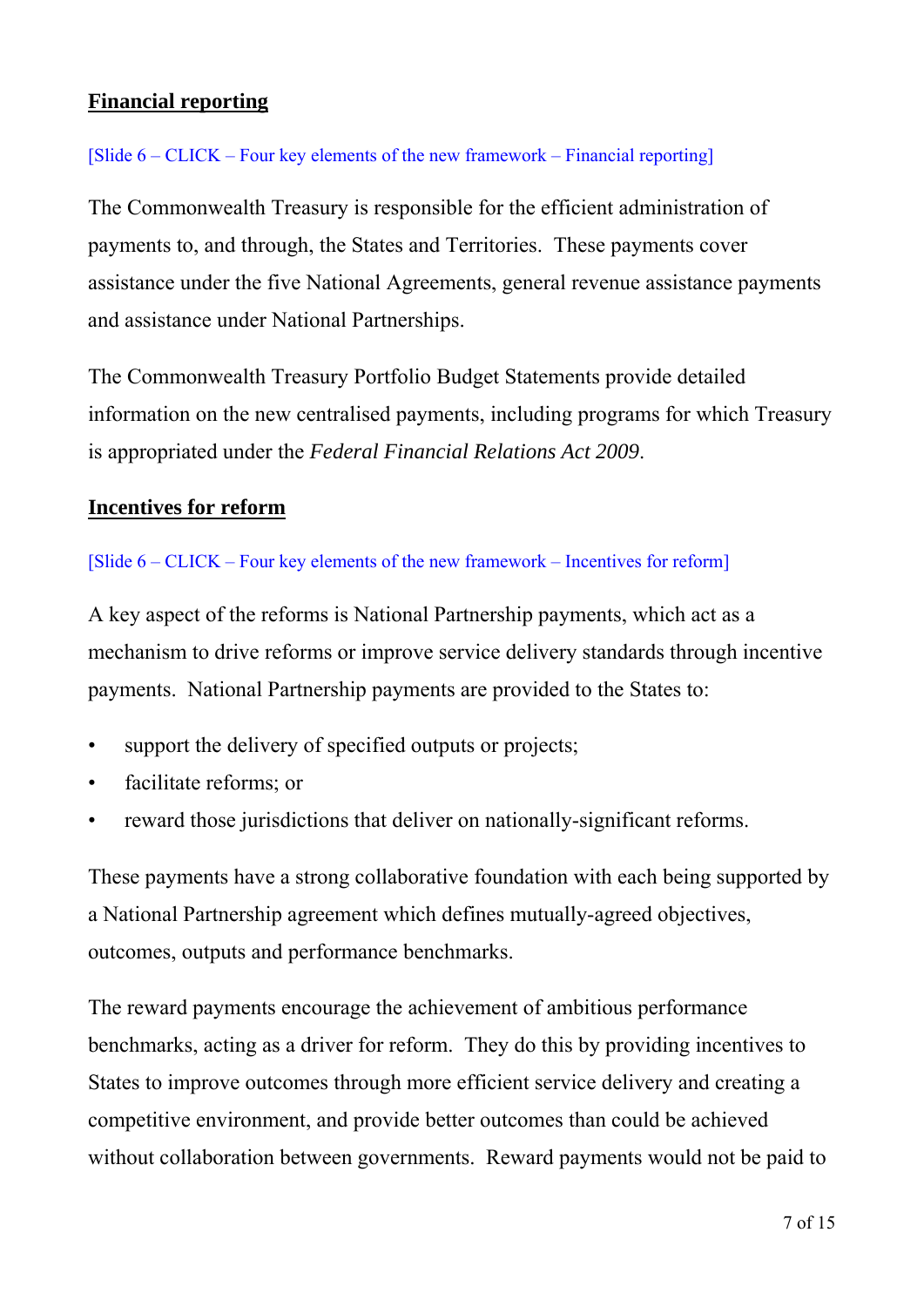# **Financial reporting**

#### [Slide 6 – CLICK – Four key elements of the new framework – Financial reporting]

The Commonwealth Treasury is responsible for the efficient administration of payments to, and through, the States and Territories. These payments cover assistance under the five National Agreements, general revenue assistance payments and assistance under National Partnerships.

The Commonwealth Treasury Portfolio Budget Statements provide detailed information on the new centralised payments, including programs for which Treasury is appropriated under the *Federal Financial Relations Act 2009*.

### **Incentives for reform**

#### [Slide 6 – CLICK – Four key elements of the new framework – Incentives for reform]

A key aspect of the reforms is National Partnership payments, which act as a mechanism to drive reforms or improve service delivery standards through incentive payments. National Partnership payments are provided to the States to:

- support the delivery of specified outputs or projects;
- facilitate reforms; or
- reward those jurisdictions that deliver on nationally-significant reforms.

These payments have a strong collaborative foundation with each being supported by a National Partnership agreement which defines mutually-agreed objectives, outcomes, outputs and performance benchmarks.

The reward payments encourage the achievement of ambitious performance benchmarks, acting as a driver for reform. They do this by providing incentives to States to improve outcomes through more efficient service delivery and creating a competitive environment, and provide better outcomes than could be achieved without collaboration between governments. Reward payments would not be paid to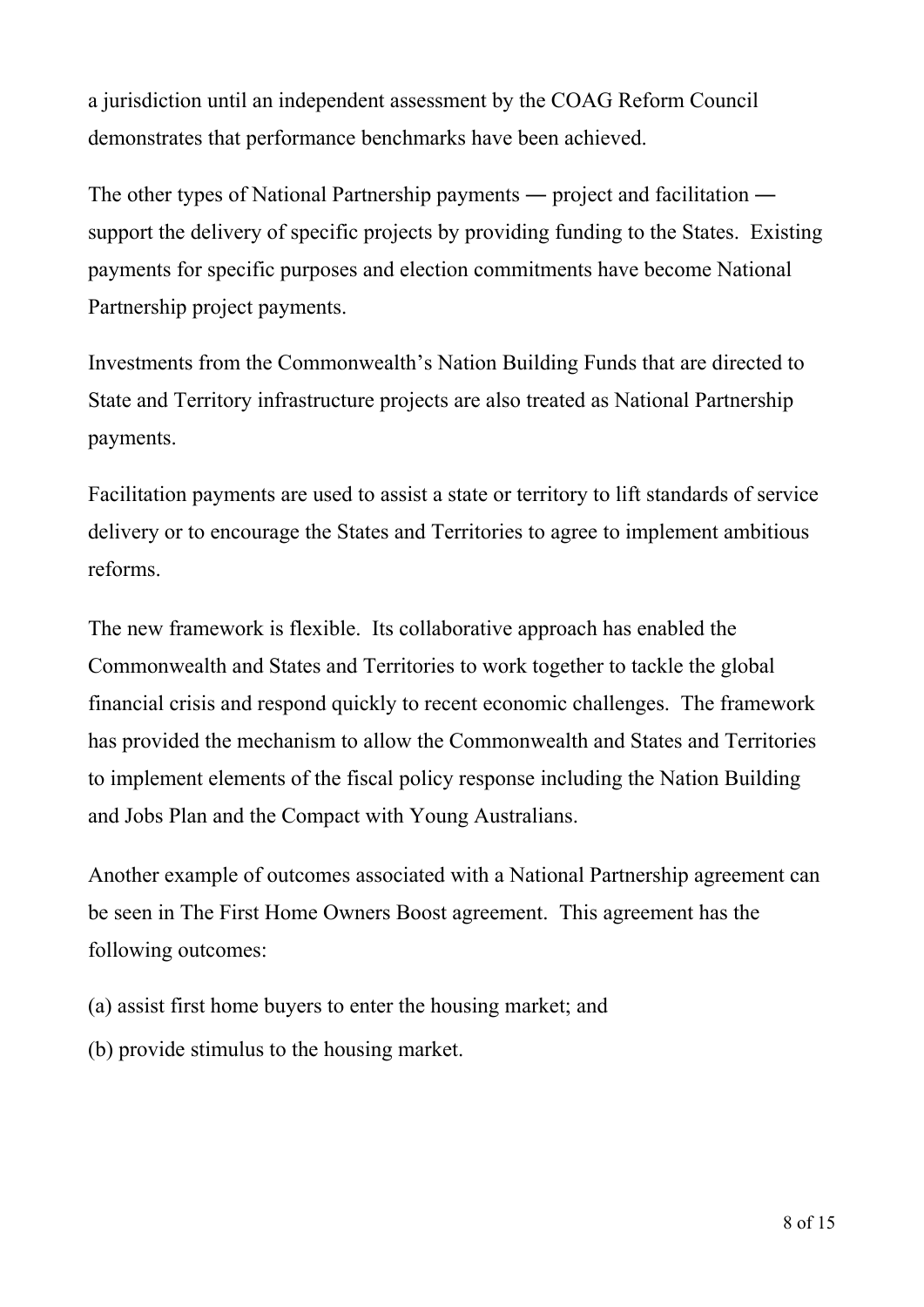a jurisdiction until an independent assessment by the COAG Reform Council demonstrates that performance benchmarks have been achieved.

The other types of National Partnership payments ― project and facilitation ― support the delivery of specific projects by providing funding to the States. Existing payments for specific purposes and election commitments have become National Partnership project payments.

Investments from the Commonwealth's Nation Building Funds that are directed to State and Territory infrastructure projects are also treated as National Partnership payments.

Facilitation payments are used to assist a state or territory to lift standards of service delivery or to encourage the States and Territories to agree to implement ambitious reforms.

The new framework is flexible. Its collaborative approach has enabled the Commonwealth and States and Territories to work together to tackle the global financial crisis and respond quickly to recent economic challenges. The framework has provided the mechanism to allow the Commonwealth and States and Territories to implement elements of the fiscal policy response including the Nation Building and Jobs Plan and the Compact with Young Australians.

Another example of outcomes associated with a National Partnership agreement can be seen in The First Home Owners Boost agreement. This agreement has the following outcomes:

- (a) assist first home buyers to enter the housing market; and
- (b) provide stimulus to the housing market.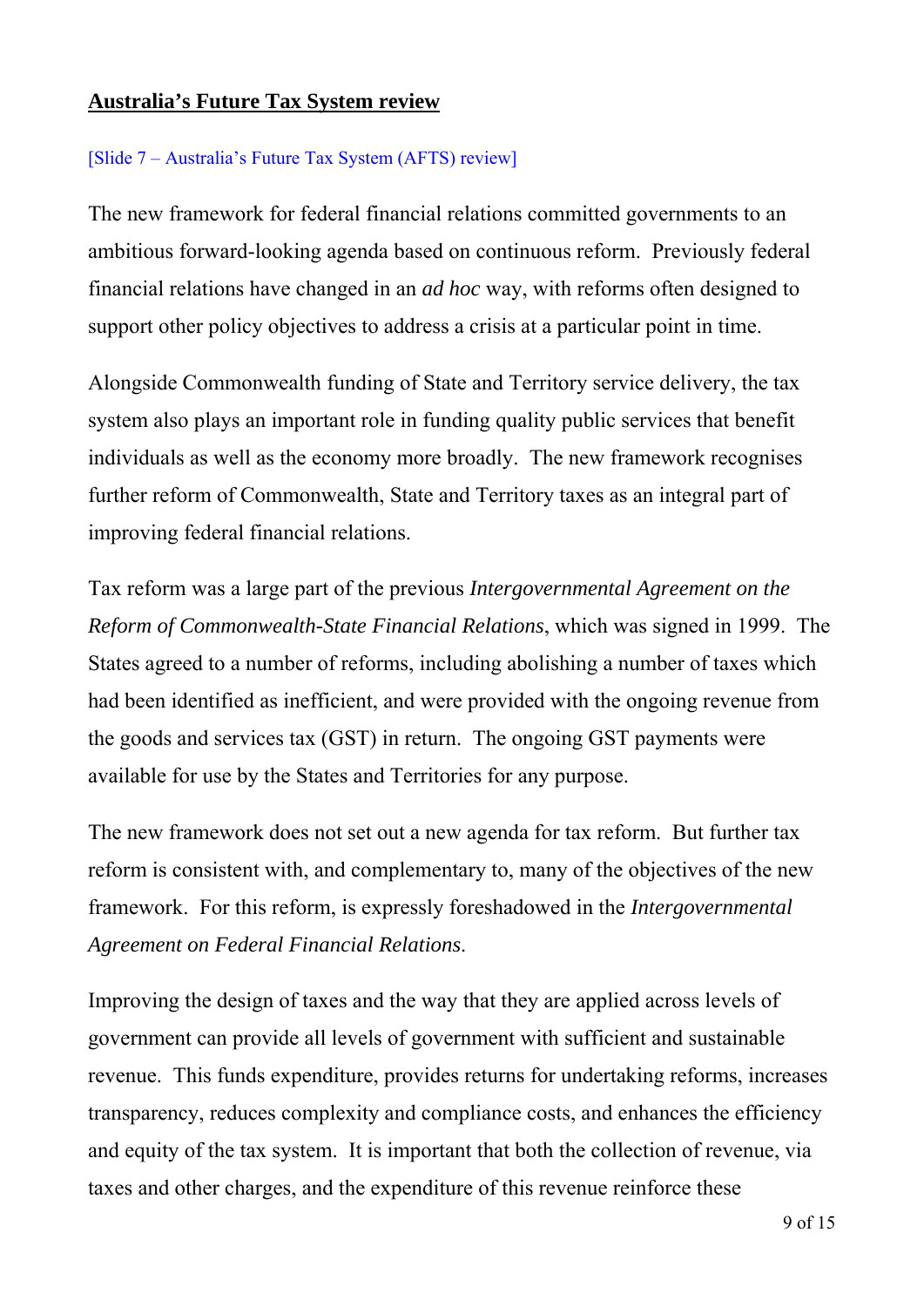# **Australia's Future Tax System review**

#### [Slide 7 – Australia's Future Tax System (AFTS) review]

The new framework for federal financial relations committed governments to an ambitious forward-looking agenda based on continuous reform. Previously federal financial relations have changed in an *ad hoc* way, with reforms often designed to support other policy objectives to address a crisis at a particular point in time.

Alongside Commonwealth funding of State and Territory service delivery, the tax system also plays an important role in funding quality public services that benefit individuals as well as the economy more broadly. The new framework recognises further reform of Commonwealth, State and Territory taxes as an integral part of improving federal financial relations.

Tax reform was a large part of the previous *Intergovernmental Agreement on the Reform of Commonwealth-State Financial Relations*, which was signed in 1999. The States agreed to a number of reforms, including abolishing a number of taxes which had been identified as inefficient, and were provided with the ongoing revenue from the goods and services tax (GST) in return. The ongoing GST payments were available for use by the States and Territories for any purpose.

The new framework does not set out a new agenda for tax reform. But further tax reform is consistent with, and complementary to, many of the objectives of the new framework. For this reform, is expressly foreshadowed in the *Intergovernmental Agreement on Federal Financial Relations*.

Improving the design of taxes and the way that they are applied across levels of government can provide all levels of government with sufficient and sustainable revenue. This funds expenditure, provides returns for undertaking reforms, increases transparency, reduces complexity and compliance costs, and enhances the efficiency and equity of the tax system. It is important that both the collection of revenue, via taxes and other charges, and the expenditure of this revenue reinforce these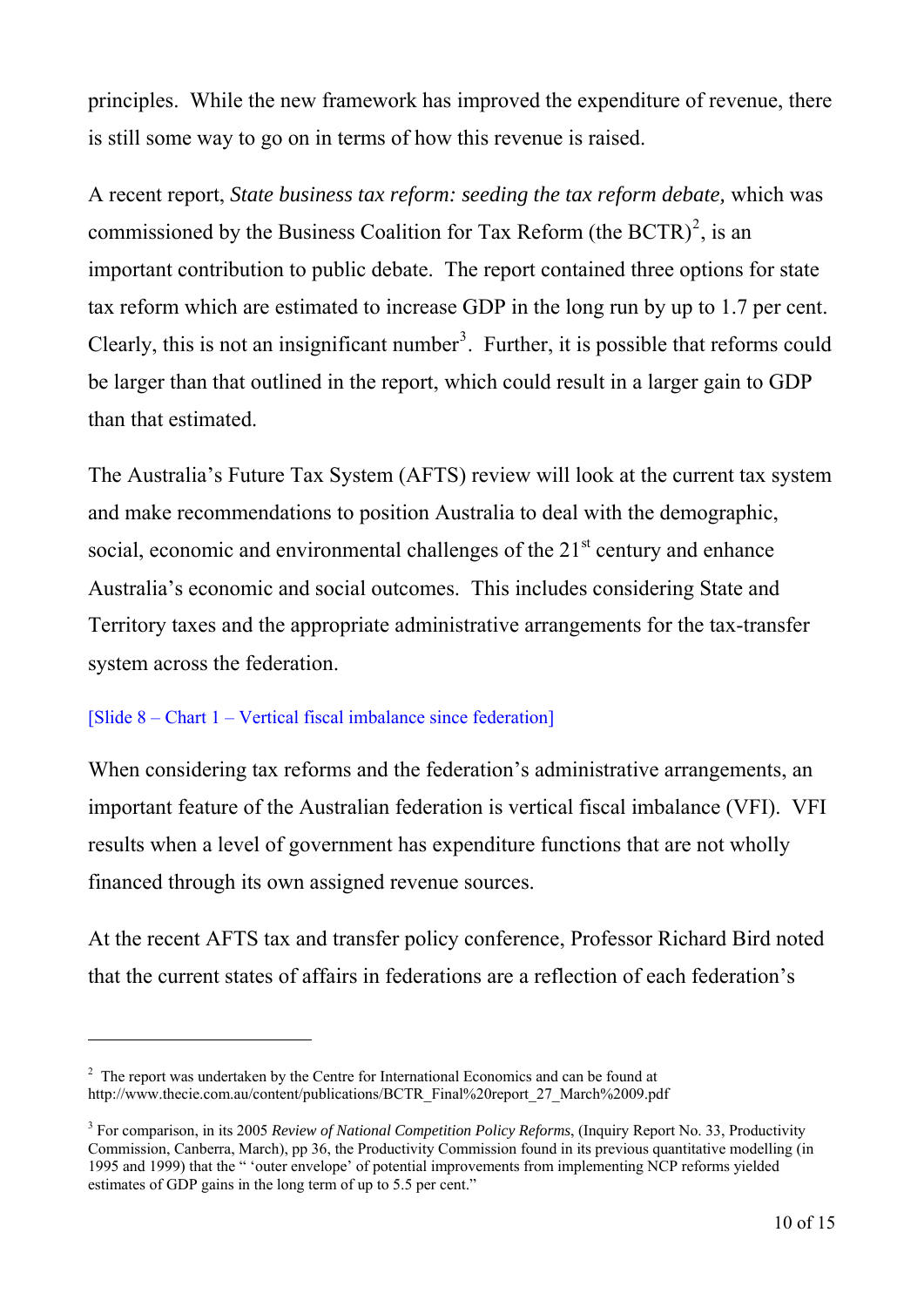principles. While the new framework has improved the expenditure of revenue, there is still some way to go on in terms of how this revenue is raised.

A recent report, *State business tax reform: seeding the tax reform debate,* which was commissioned by the Business Coalition for Tax Reform (the BCTR)<sup>[2](#page-9-0)</sup>, is an important contribution to public debate. The report contained three options for state tax reform which are estimated to increase GDP in the long run by up to 1.7 per cent. Clearly, this is not an insignificant number<sup>[3](#page-9-1)</sup>. Further, it is possible that reforms could be larger than that outlined in the report, which could result in a larger gain to GDP than that estimated.

The Australia's Future Tax System (AFTS) review will look at the current tax system and make recommendations to position Australia to deal with the demographic, social, economic and environmental challenges of the  $21<sup>st</sup>$  century and enhance Australia's economic and social outcomes. This includes considering State and Territory taxes and the appropriate administrative arrangements for the tax-transfer system across the federation.

#### [Slide 8 – Chart 1 – Vertical fiscal imbalance since federation]

 $\overline{a}$ 

When considering tax reforms and the federation's administrative arrangements, an important feature of the Australian federation is vertical fiscal imbalance (VFI). VFI results when a level of government has expenditure functions that are not wholly financed through its own assigned revenue sources.

At the recent AFTS tax and transfer policy conference, Professor Richard Bird noted that the current states of affairs in federations are a reflection of each federation's

<span id="page-9-0"></span> $2<sup>2</sup>$  The report was undertaken by the Centre for International Economics and can be found at http://www.thecie.com.au/content/publications/BCTR\_Final%20report\_27\_March%2009.pdf

<span id="page-9-1"></span><sup>3</sup> For comparison, in its 2005 *Review of National Competition Policy Reforms*, (Inquiry Report No. 33, Productivity Commission, Canberra, March), pp 36, the Productivity Commission found in its previous quantitative modelling (in 1995 and 1999) that the " 'outer envelope' of potential improvements from implementing NCP reforms yielded estimates of GDP gains in the long term of up to 5.5 per cent."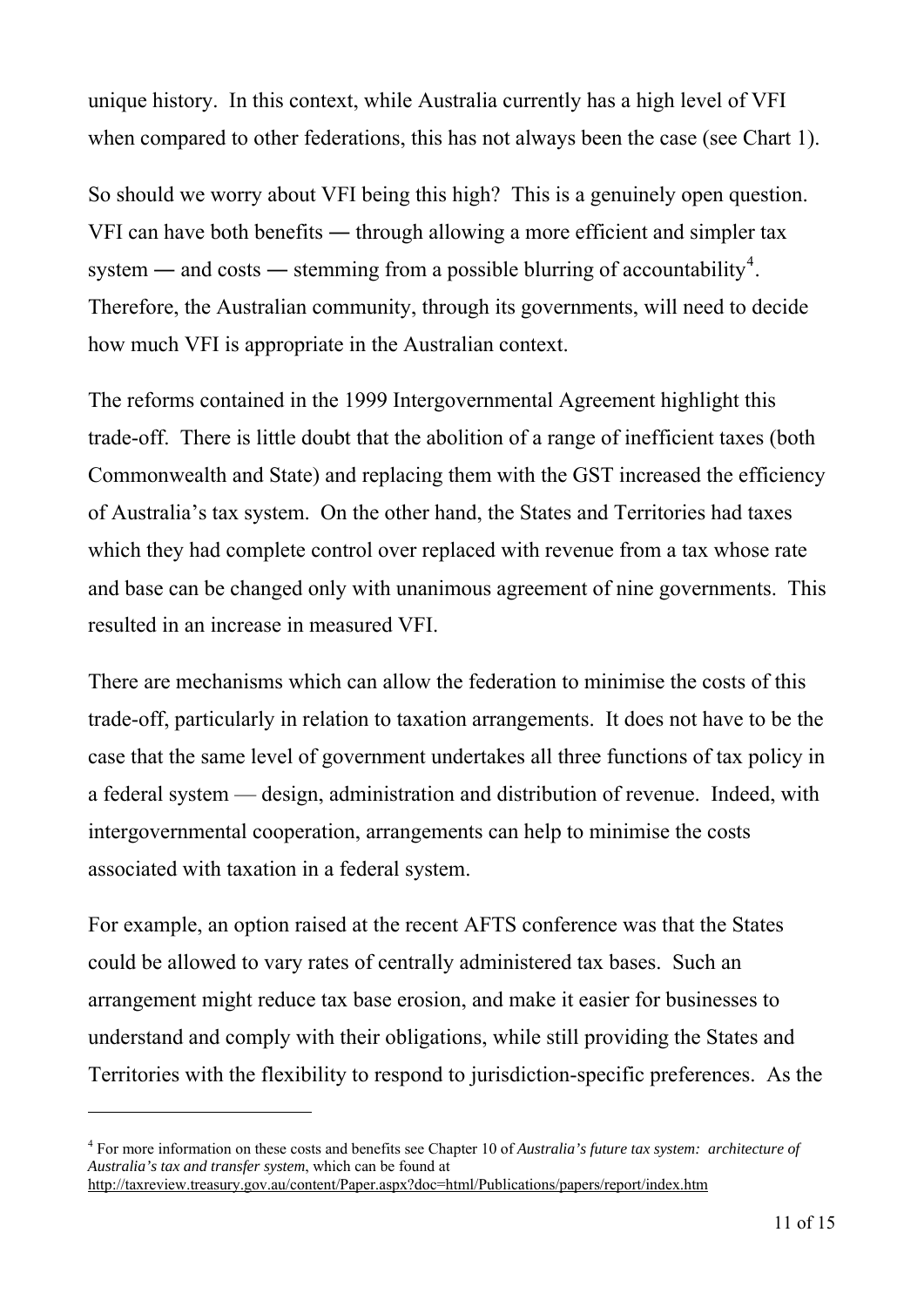unique history. In this context, while Australia currently has a high level of VFI when compared to other federations, this has not always been the case (see Chart 1).

So should we worry about VFI being this high? This is a genuinely open question. VFI can have both benefits ― through allowing a more efficient and simpler tax system — and costs — stemming from a possible blurring of accountability<sup>[4](#page-10-0)</sup>. Therefore, the Australian community, through its governments, will need to decide how much VFI is appropriate in the Australian context.

The reforms contained in the 1999 Intergovernmental Agreement highlight this trade-off. There is little doubt that the abolition of a range of inefficient taxes (both Commonwealth and State) and replacing them with the GST increased the efficiency of Australia's tax system. On the other hand, the States and Territories had taxes which they had complete control over replaced with revenue from a tax whose rate and base can be changed only with unanimous agreement of nine governments. This resulted in an increase in measured VFI.

There are mechanisms which can allow the federation to minimise the costs of this trade-off, particularly in relation to taxation arrangements. It does not have to be the case that the same level of government undertakes all three functions of tax policy in a federal system — design, administration and distribution of revenue. Indeed, with intergovernmental cooperation, arrangements can help to minimise the costs associated with taxation in a federal system.

For example, an option raised at the recent AFTS conference was that the States could be allowed to vary rates of centrally administered tax bases. Such an arrangement might reduce tax base erosion, and make it easier for businesses to understand and comply with their obligations, while still providing the States and Territories with the flexibility to respond to jurisdiction-specific preferences. As the

 $\overline{a}$ 

<span id="page-10-0"></span><sup>4</sup> For more information on these costs and benefits see Chapter 10 of *Australia's future tax system: architecture of Australia's tax and transfer system*, which can be found at <http://taxreview.treasury.gov.au/content/Paper.aspx?doc=html/Publications/papers/report/index.htm>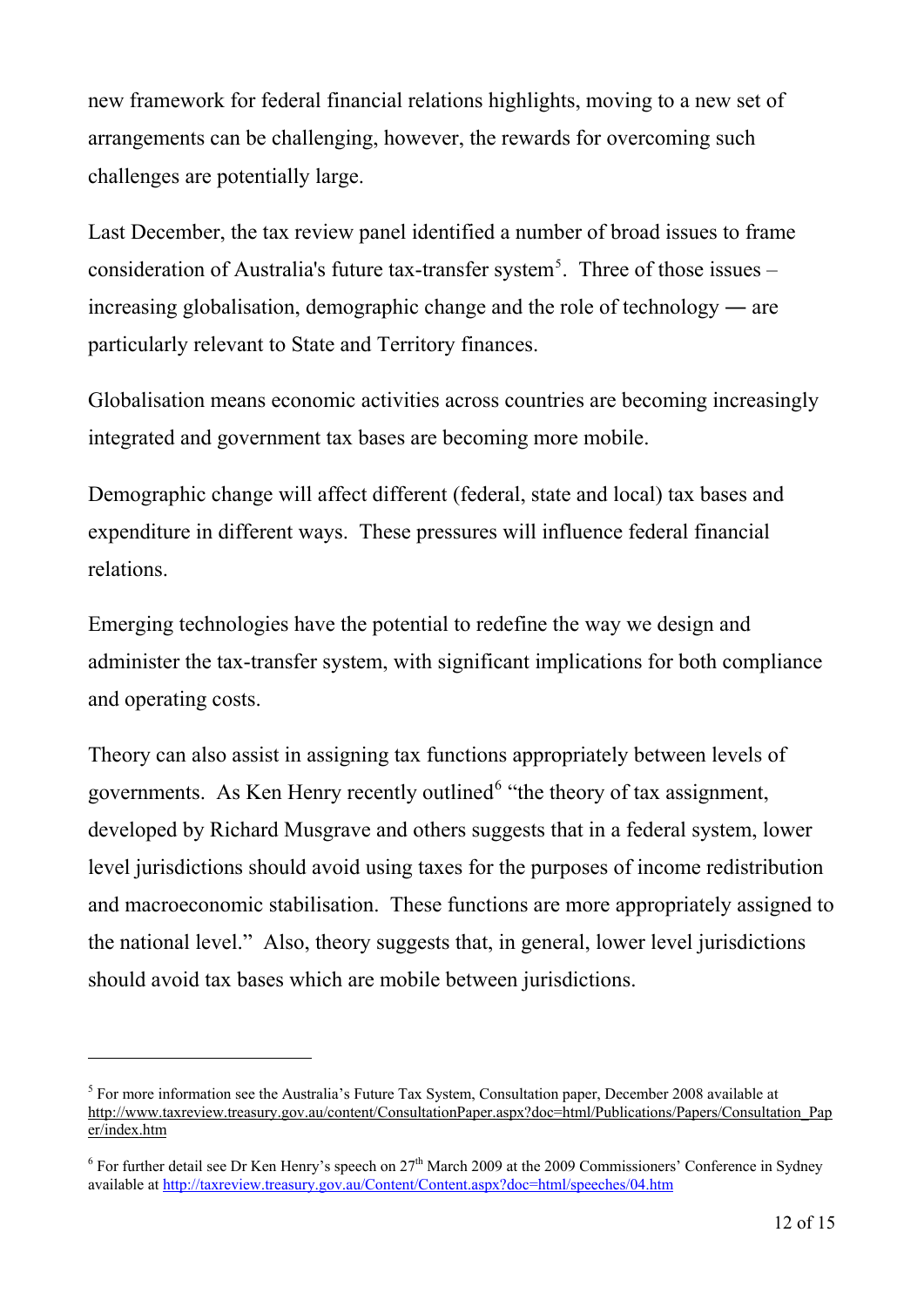new framework for federal financial relations highlights, moving to a new set of arrangements can be challenging, however, the rewards for overcoming such challenges are potentially large.

Last December, the tax review panel identified a number of broad issues to frame consideration of Australia's future tax-transfer system<sup>[5](#page-11-0)</sup>. Three of those issues  $$ increasing globalisation, demographic change and the role of technology ― are particularly relevant to State and Territory finances.

Globalisation means economic activities across countries are becoming increasingly integrated and government tax bases are becoming more mobile.

Demographic change will affect different (federal, state and local) tax bases and expenditure in different ways. These pressures will influence federal financial relations.

Emerging technologies have the potential to redefine the way we design and administer the tax-transfer system, with significant implications for both compliance and operating costs.

Theory can also assist in assigning tax functions appropriately between levels of governments. As Ken Henry recently outlined<sup>[6](#page-11-1)</sup> "the theory of tax assignment, developed by Richard Musgrave and others suggests that in a federal system, lower level jurisdictions should avoid using taxes for the purposes of income redistribution and macroeconomic stabilisation. These functions are more appropriately assigned to the national level." Also, theory suggests that, in general, lower level jurisdictions should avoid tax bases which are mobile between jurisdictions.

 $\overline{a}$ 

<span id="page-11-0"></span> $<sup>5</sup>$  For more information see the Australia's Future Tax System, Consultation paper, December 2008 available at</sup> [http://www.taxreview.treasury.gov.au/content/ConsultationPaper.aspx?doc=html/Publications/Papers/Consultation\\_Pap](http://www.taxreview.treasury.gov.au/content/ConsultationPaper.aspx?doc=html/Publications/Papers/Consultation_Paper/index.htm) [er/index.htm](http://www.taxreview.treasury.gov.au/content/ConsultationPaper.aspx?doc=html/Publications/Papers/Consultation_Paper/index.htm) 

<span id="page-11-1"></span><sup>&</sup>lt;sup>6</sup> For further detail see Dr Ken Henry's speech on  $27<sup>th</sup>$  March 2009 at the 2009 Commissioners' Conference in Sydney available at<http://taxreview.treasury.gov.au/Content/Content.aspx?doc=html/speeches/04.htm>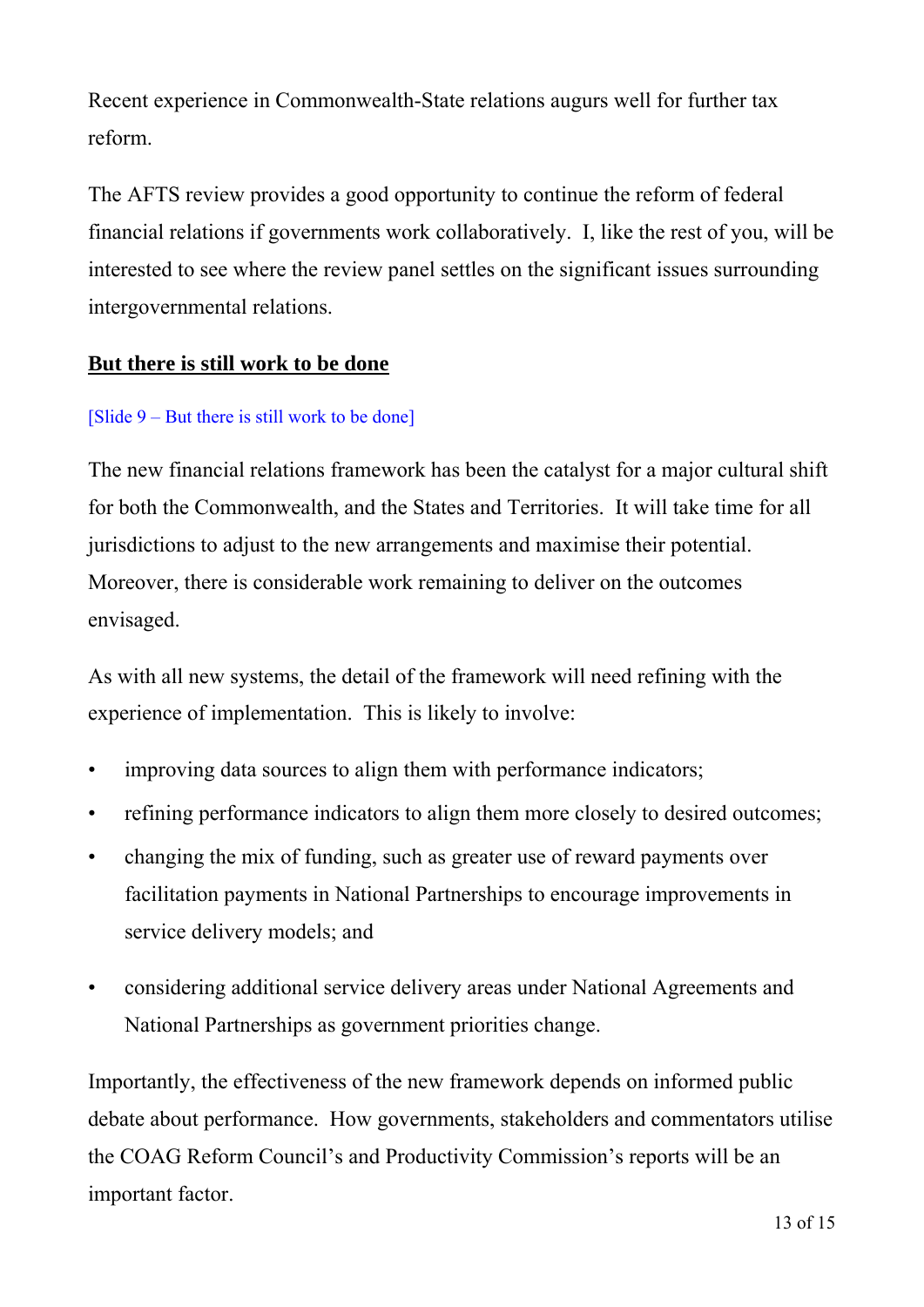Recent experience in Commonwealth-State relations augurs well for further tax reform.

The AFTS review provides a good opportunity to continue the reform of federal financial relations if governments work collaboratively. I, like the rest of you, will be interested to see where the review panel settles on the significant issues surrounding intergovernmental relations.

## **But there is still work to be done**

## [Slide  $9 - But$  there is still work to be done]

The new financial relations framework has been the catalyst for a major cultural shift for both the Commonwealth, and the States and Territories. It will take time for all jurisdictions to adjust to the new arrangements and maximise their potential. Moreover, there is considerable work remaining to deliver on the outcomes envisaged.

As with all new systems, the detail of the framework will need refining with the experience of implementation. This is likely to involve:

- improving data sources to align them with performance indicators;
- refining performance indicators to align them more closely to desired outcomes;
- changing the mix of funding, such as greater use of reward payments over facilitation payments in National Partnerships to encourage improvements in service delivery models; and
- considering additional service delivery areas under National Agreements and National Partnerships as government priorities change.

Importantly, the effectiveness of the new framework depends on informed public debate about performance. How governments, stakeholders and commentators utilise the COAG Reform Council's and Productivity Commission's reports will be an important factor.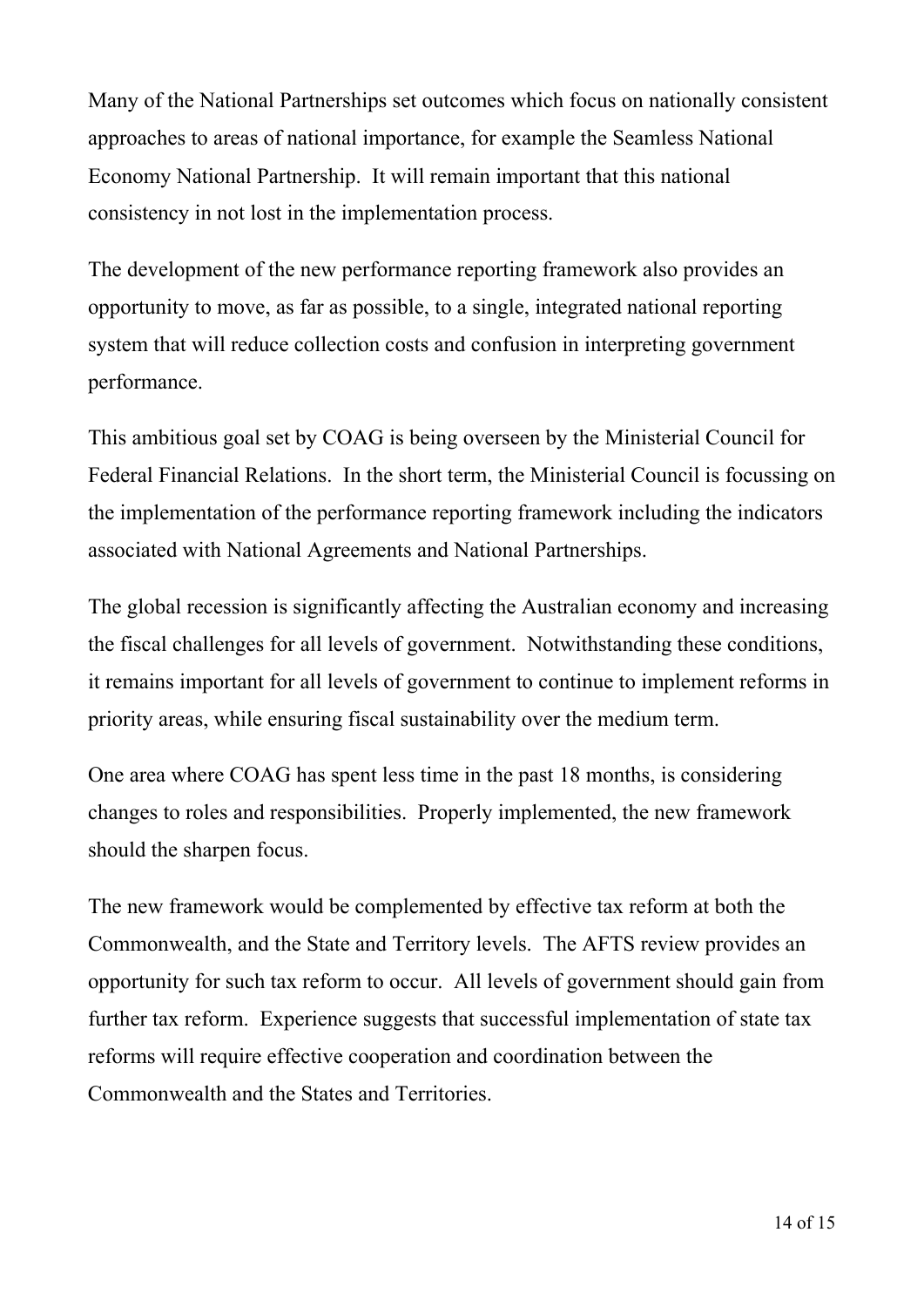Many of the National Partnerships set outcomes which focus on nationally consistent approaches to areas of national importance, for example the Seamless National Economy National Partnership. It will remain important that this national consistency in not lost in the implementation process.

The development of the new performance reporting framework also provides an opportunity to move, as far as possible, to a single, integrated national reporting system that will reduce collection costs and confusion in interpreting government performance.

This ambitious goal set by COAG is being overseen by the Ministerial Council for Federal Financial Relations. In the short term, the Ministerial Council is focussing on the implementation of the performance reporting framework including the indicators associated with National Agreements and National Partnerships.

The global recession is significantly affecting the Australian economy and increasing the fiscal challenges for all levels of government. Notwithstanding these conditions, it remains important for all levels of government to continue to implement reforms in priority areas, while ensuring fiscal sustainability over the medium term.

One area where COAG has spent less time in the past 18 months, is considering changes to roles and responsibilities. Properly implemented, the new framework should the sharpen focus.

The new framework would be complemented by effective tax reform at both the Commonwealth, and the State and Territory levels. The AFTS review provides an opportunity for such tax reform to occur. All levels of government should gain from further tax reform. Experience suggests that successful implementation of state tax reforms will require effective cooperation and coordination between the Commonwealth and the States and Territories.